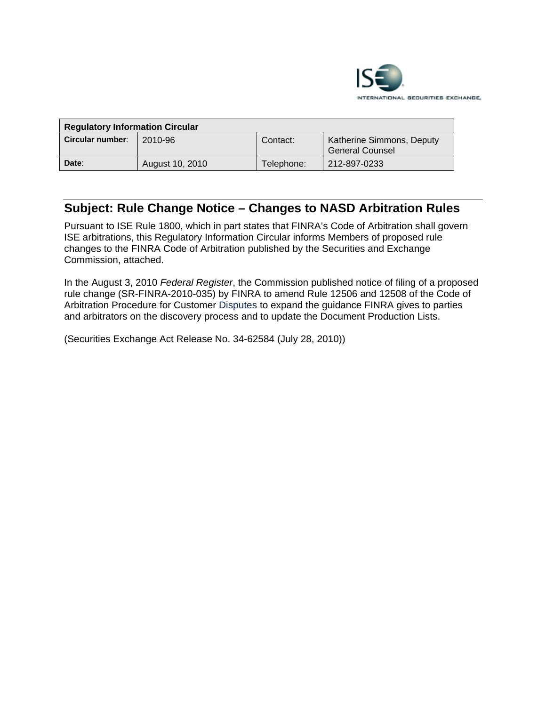

| <b>Regulatory Information Circular</b> |                 |            |                                                     |  |  |
|----------------------------------------|-----------------|------------|-----------------------------------------------------|--|--|
| Circular number:                       | 2010-96         | Contact:   | Katherine Simmons, Deputy<br><b>General Counsel</b> |  |  |
| Date:                                  | August 10, 2010 | Telephone: | 212-897-0233                                        |  |  |

# **Subject: Rule Change Notice – Changes to NASD Arbitration Rules**

Pursuant to ISE Rule 1800, which in part states that FINRA's Code of Arbitration shall govern ISE arbitrations, this Regulatory Information Circular informs Members of proposed rule changes to the FINRA Code of Arbitration published by the Securities and Exchange Commission, attached.

In the August 3, 2010 *Federal Register*, the Commission published notice of filing of a proposed rule change (SR-FINRA-2010-035) by FINRA to amend Rule 12506 and 12508 of the Code of Arbitration Procedure for Customer Disputes to expand the guidance FINRA gives to parties and arbitrators on the discovery process and to update the Document Production Lists.

(Securities Exchange Act Release No. 34-62584 (July 28, 2010))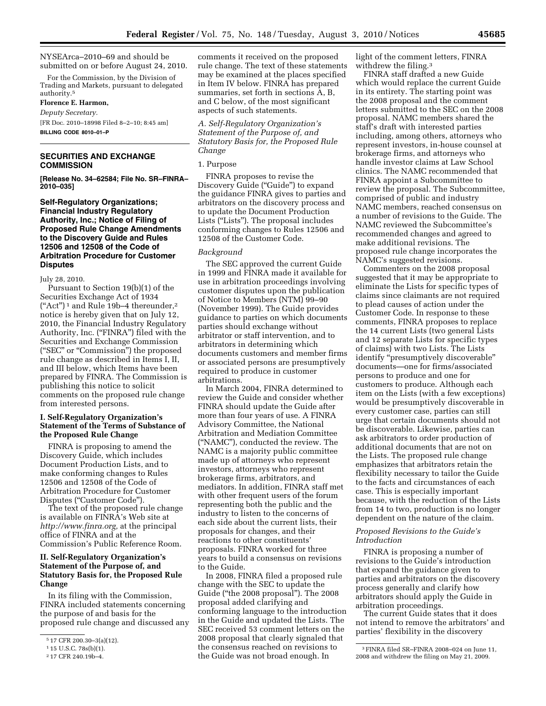NYSEArca–2010–69 and should be submitted on or before August 24, 2010.

For the Commission, by the Division of Trading and Markets, pursuant to delegated authority.5

**Florence E. Harmon,**  *Deputy Secretary.* 

[FR Doc. 2010–18998 Filed 8–2–10; 8:45 am] **BILLING CODE 8010–01–P** 

# **SECURITIES AND EXCHANGE COMMISSION**

**[Release No. 34–62584; File No. SR–FINRA– 2010–035]** 

# **Self-Regulatory Organizations; Financial Industry Regulatory Authority, Inc.; Notice of Filing of Proposed Rule Change Amendments to the Discovery Guide and Rules 12506 and 12508 of the Code of Arbitration Procedure for Customer Disputes**

July 28, 2010.

Pursuant to Section 19(b)(1) of the Securities Exchange Act of 1934  $("Act")^1$  and Rule 19b-4 thereunder,<sup>2</sup> notice is hereby given that on July 12, 2010, the Financial Industry Regulatory Authority, Inc. ("FINRA") filed with the Securities and Exchange Commission (''SEC'' or ''Commission'') the proposed rule change as described in Items I, II, and III below, which Items have been prepared by FINRA. The Commission is publishing this notice to solicit comments on the proposed rule change from interested persons.

# **I. Self-Regulatory Organization's Statement of the Terms of Substance of the Proposed Rule Change**

FINRA is proposing to amend the Discovery Guide, which includes Document Production Lists, and to make conforming changes to Rules 12506 and 12508 of the Code of Arbitration Procedure for Customer Disputes ("Customer Code").

The text of the proposed rule change is available on FINRA's Web site at *[http://www.finra.org,](http://www.finra.org)* at the principal office of FINRA and at the Commission's Public Reference Room.

# **II. Self-Regulatory Organization's Statement of the Purpose of, and Statutory Basis for, the Proposed Rule Change**

In its filing with the Commission, FINRA included statements concerning the purpose of and basis for the proposed rule change and discussed any

comments it received on the proposed rule change. The text of these statements may be examined at the places specified in Item IV below. FINRA has prepared summaries, set forth in sections A, B, and C below, of the most significant aspects of such statements.

*A. Self-Regulatory Organization's Statement of the Purpose of, and Statutory Basis for, the Proposed Rule Change* 

#### 1. Purpose

FINRA proposes to revise the Discovery Guide ("Guide") to expand the guidance FINRA gives to parties and arbitrators on the discovery process and to update the Document Production Lists (''Lists''). The proposal includes conforming changes to Rules 12506 and 12508 of the Customer Code.

#### *Background*

The SEC approved the current Guide in 1999 and FINRA made it available for use in arbitration proceedings involving customer disputes upon the publication of Notice to Members (NTM) 99–90 (November 1999). The Guide provides guidance to parties on which documents parties should exchange without arbitrator or staff intervention, and to arbitrators in determining which documents customers and member firms or associated persons are presumptively required to produce in customer arbitrations.

In March 2004, FINRA determined to review the Guide and consider whether FINRA should update the Guide after more than four years of use. A FINRA Advisory Committee, the National Arbitration and Mediation Committee (''NAMC''), conducted the review. The NAMC is a majority public committee made up of attorneys who represent investors, attorneys who represent brokerage firms, arbitrators, and mediators. In addition, FINRA staff met with other frequent users of the forum representing both the public and the industry to listen to the concerns of each side about the current lists, their proposals for changes, and their reactions to other constituents' proposals. FINRA worked for three years to build a consensus on revisions to the Guide.

In 2008, FINRA filed a proposed rule change with the SEC to update the Guide (''the 2008 proposal''). The 2008 proposal added clarifying and conforming language to the introduction in the Guide and updated the Lists. The SEC received 53 comment letters on the 2008 proposal that clearly signaled that the consensus reached on revisions to the Guide was not broad enough. In

light of the comment letters, FINRA withdrew the filing.<sup>3</sup>

FINRA staff drafted a new Guide which would replace the current Guide in its entirety. The starting point was the 2008 proposal and the comment letters submitted to the SEC on the 2008 proposal. NAMC members shared the staff's draft with interested parties including, among others, attorneys who represent investors, in-house counsel at brokerage firms, and attorneys who handle investor claims at Law School clinics. The NAMC recommended that FINRA appoint a Subcommittee to review the proposal. The Subcommittee, comprised of public and industry NAMC members, reached consensus on a number of revisions to the Guide. The NAMC reviewed the Subcommittee's recommended changes and agreed to make additional revisions. The proposed rule change incorporates the NAMC's suggested revisions.

Commenters on the 2008 proposal suggested that it may be appropriate to eliminate the Lists for specific types of claims since claimants are not required to plead causes of action under the Customer Code. In response to these comments, FINRA proposes to replace the 14 current Lists (two general Lists and 12 separate Lists for specific types of claims) with two Lists. The Lists identify "presumptively discoverable" documents—one for firms/associated persons to produce and one for customers to produce. Although each item on the Lists (with a few exceptions) would be presumptively discoverable in every customer case, parties can still urge that certain documents should not be discoverable. Likewise, parties can ask arbitrators to order production of additional documents that are not on the Lists. The proposed rule change emphasizes that arbitrators retain the flexibility necessary to tailor the Guide to the facts and circumstances of each case. This is especially important because, with the reduction of the Lists from 14 to two, production is no longer dependent on the nature of the claim.

## *Proposed Revisions to the Guide's Introduction*

FINRA is proposing a number of revisions to the Guide's introduction that expand the guidance given to parties and arbitrators on the discovery process generally and clarify how arbitrators should apply the Guide in arbitration proceedings.

The current Guide states that it does not intend to remove the arbitrators' and parties' flexibility in the discovery

<sup>5</sup> 17 CFR 200.30–3(a)(12).

<sup>1</sup> 15 U.S.C. 78s(b)(1).

<sup>2</sup> 17 CFR 240.19b–4.

<sup>3</sup>FINRA filed SR–FINRA 2008–024 on June 11, 2008 and withdrew the filing on May 21, 2009.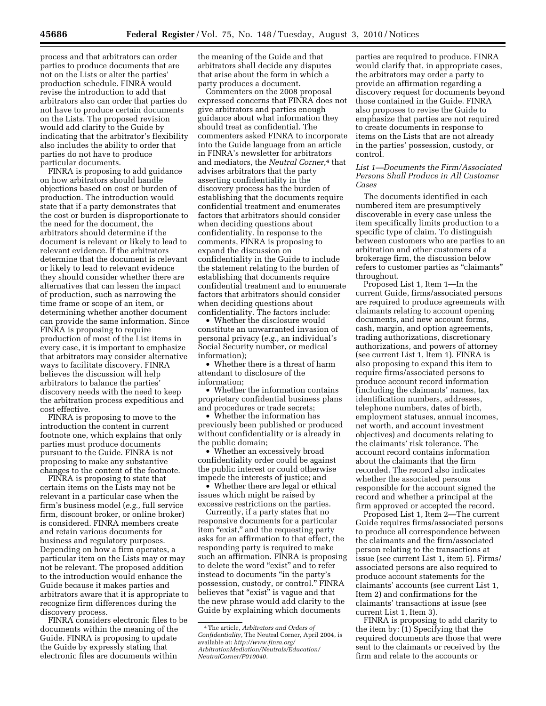process and that arbitrators can order parties to produce documents that are not on the Lists or alter the parties' production schedule. FINRA would revise the introduction to add that arbitrators also can order that parties do not have to produce certain documents on the Lists. The proposed revision would add clarity to the Guide by indicating that the arbitrator's flexibility also includes the ability to order that parties do not have to produce particular documents.

FINRA is proposing to add guidance on how arbitrators should handle objections based on cost or burden of production. The introduction would state that if a party demonstrates that the cost or burden is disproportionate to the need for the document, the arbitrators should determine if the document is relevant or likely to lead to relevant evidence. If the arbitrators determine that the document is relevant or likely to lead to relevant evidence they should consider whether there are alternatives that can lessen the impact of production, such as narrowing the time frame or scope of an item, or determining whether another document can provide the same information. Since FINRA is proposing to require production of most of the List items in every case, it is important to emphasize that arbitrators may consider alternative ways to facilitate discovery. FINRA believes the discussion will help arbitrators to balance the parties' discovery needs with the need to keep the arbitration process expeditious and cost effective.

FINRA is proposing to move to the introduction the content in current footnote one, which explains that only parties must produce documents pursuant to the Guide. FINRA is not proposing to make any substantive changes to the content of the footnote.

FINRA is proposing to state that certain items on the Lists may not be relevant in a particular case when the firm's business model (*e.g.,* full service firm, discount broker, or online broker) is considered. FINRA members create and retain various documents for business and regulatory purposes. Depending on how a firm operates, a particular item on the Lists may or may not be relevant. The proposed addition to the introduction would enhance the Guide because it makes parties and arbitrators aware that it is appropriate to recognize firm differences during the discovery process.

FINRA considers electronic files to be documents within the meaning of the Guide. FINRA is proposing to update the Guide by expressly stating that electronic files are documents within

the meaning of the Guide and that arbitrators shall decide any disputes that arise about the form in which a party produces a document.

Commenters on the 2008 proposal expressed concerns that FINRA does not give arbitrators and parties enough guidance about what information they should treat as confidential. The commenters asked FINRA to incorporate into the Guide language from an article in FINRA's newsletter for arbitrators and mediators, the *Neutral Corner,*4 that advises arbitrators that the party asserting confidentiality in the discovery process has the burden of establishing that the documents require confidential treatment and enumerates factors that arbitrators should consider when deciding questions about confidentiality. In response to the comments, FINRA is proposing to expand the discussion on confidentiality in the Guide to include the statement relating to the burden of establishing that documents require confidential treatment and to enumerate factors that arbitrators should consider when deciding questions about confidentiality. The factors include:

• Whether the disclosure would constitute an unwarranted invasion of personal privacy (*e.g.,* an individual's Social Security number, or medical information);

• Whether there is a threat of harm attendant to disclosure of the information;

• Whether the information contains proprietary confidential business plans and procedures or trade secrets;

• Whether the information has previously been published or produced without confidentiality or is already in the public domain;

Whether an excessively broad confidentiality order could be against the public interest or could otherwise impede the interests of justice; and

• Whether there are legal or ethical issues which might be raised by excessive restrictions on the parties.

Currently, if a party states that no responsive documents for a particular item "exist," and the requesting party asks for an affirmation to that effect, the responding party is required to make such an affirmation. FINRA is proposing to delete the word "exist" and to refer instead to documents ''in the party's possession, custody, or control.'' FINRA believes that "exist" is vague and that the new phrase would add clarity to the Guide by explaining which documents

parties are required to produce. FINRA would clarify that, in appropriate cases, the arbitrators may order a party to provide an affirmation regarding a discovery request for documents beyond those contained in the Guide. FINRA also proposes to revise the Guide to emphasize that parties are not required to create documents in response to items on the Lists that are not already in the parties' possession, custody, or control.

## *List 1—Documents the Firm/Associated Persons Shall Produce in All Customer Cases*

The documents identified in each numbered item are presumptively discoverable in every case unless the item specifically limits production to a specific type of claim. To distinguish between customers who are parties to an arbitration and other customers of a brokerage firm, the discussion below refers to customer parties as ''claimants'' throughout.

Proposed List 1, Item 1—In the current Guide, firms/associated persons are required to produce agreements with claimants relating to account opening documents, and new account forms, cash, margin, and option agreements, trading authorizations, discretionary authorizations, and powers of attorney (see current List 1, Item 1). FINRA is also proposing to expand this item to require firms/associated persons to produce account record information (including the claimants' names, tax identification numbers, addresses, telephone numbers, dates of birth, employment statuses, annual incomes, net worth, and account investment objectives) and documents relating to the claimants' risk tolerance. The account record contains information about the claimants that the firm recorded. The record also indicates whether the associated persons responsible for the account signed the record and whether a principal at the firm approved or accepted the record.

Proposed List 1, Item 2—The current Guide requires firms/associated persons to produce all correspondence between the claimants and the firm/associated person relating to the transactions at issue (see current List 1, item 5). Firms/ associated persons are also required to produce account statements for the claimants' accounts (see current List 1, Item 2) and confirmations for the claimants' transactions at issue (see current List 1, Item 3).

FINRA is proposing to add clarity to the item by: (1) Specifying that the required documents are those that were sent to the claimants or received by the firm and relate to the accounts or

<sup>4</sup>The article, *Arbitrators and Orders of Confidentiality,* The Neutral Corner, April 2004, is available at: *[http://www.finra.org/](http://www.finra.org/ArbitrationMediation/Neutrals/Education/NeutralCorner/P010040) [ArbitrationMediation/Neutrals/Education/](http://www.finra.org/ArbitrationMediation/Neutrals/Education/NeutralCorner/P010040) [NeutralCorner/P010040.](http://www.finra.org/ArbitrationMediation/Neutrals/Education/NeutralCorner/P010040)*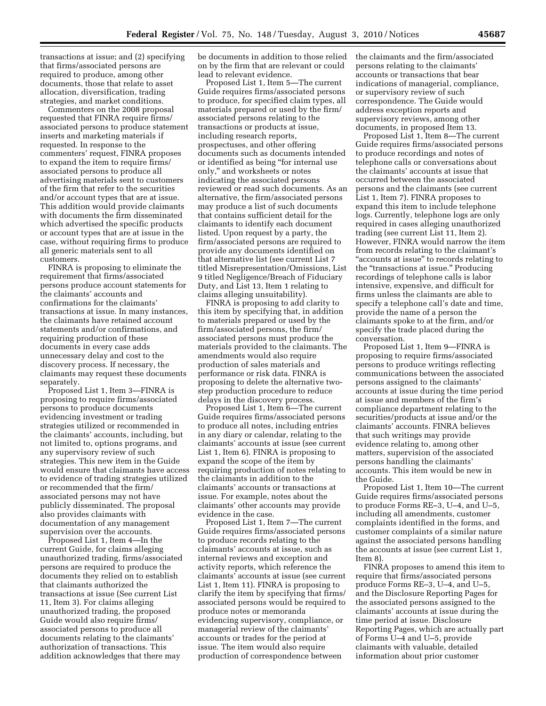transactions at issue; and (2) specifying that firms/associated persons are required to produce, among other documents, those that relate to asset allocation, diversification, trading strategies, and market conditions.

Commenters on the 2008 proposal requested that FINRA require firms/ associated persons to produce statement inserts and marketing materials if requested. In response to the commenters' request, FINRA proposes to expand the item to require firms/ associated persons to produce all advertising materials sent to customers of the firm that refer to the securities and/or account types that are at issue. This addition would provide claimants with documents the firm disseminated which advertised the specific products or account types that are at issue in the case, without requiring firms to produce all generic materials sent to all customers.

FINRA is proposing to eliminate the requirement that firms/associated persons produce account statements for the claimants' accounts and confirmations for the claimants' transactions at issue. In many instances, the claimants have retained account statements and/or confirmations, and requiring production of these documents in every case adds unnecessary delay and cost to the discovery process. If necessary, the claimants may request these documents separately.

Proposed List 1, Item 3—FINRA is proposing to require firms/associated persons to produce documents evidencing investment or trading strategies utilized or recommended in the claimants' accounts, including, but not limited to, options programs, and any supervisory review of such strategies. This new item in the Guide would ensure that claimants have access to evidence of trading strategies utilized or recommended that the firm/ associated persons may not have publicly disseminated. The proposal also provides claimants with documentation of any management supervision over the accounts.

Proposed List 1, Item 4—In the current Guide, for claims alleging unauthorized trading, firms/associated persons are required to produce the documents they relied on to establish that claimants authorized the transactions at issue (See current List 11, Item 3). For claims alleging unauthorized trading, the proposed Guide would also require firms/ associated persons to produce all documents relating to the claimants' authorization of transactions. This addition acknowledges that there may

be documents in addition to those relied on by the firm that are relevant or could lead to relevant evidence.

Proposed List 1, Item 5—The current Guide requires firms/associated persons to produce, for specified claim types, all materials prepared or used by the firm/ associated persons relating to the transactions or products at issue, including research reports, prospectuses, and other offering documents such as documents intended or identified as being ''for internal use only,'' and worksheets or notes indicating the associated persons reviewed or read such documents. As an alternative, the firm/associated persons may produce a list of such documents that contains sufficient detail for the claimants to identify each document listed. Upon request by a party, the firm/associated persons are required to provide any documents identified on that alternative list (see current List 7 titled Misrepresentation/Omissions, List 9 titled Negligence/Breach of Fiduciary Duty, and List 13, Item 1 relating to claims alleging unsuitability).

FINRA is proposing to add clarity to this item by specifying that, in addition to materials prepared or used by the firm/associated persons, the firm/ associated persons must produce the materials provided to the claimants. The amendments would also require production of sales materials and performance or risk data. FINRA is proposing to delete the alternative twostep production procedure to reduce delays in the discovery process.

Proposed List 1, Item 6—The current Guide requires firms/associated persons to produce all notes, including entries in any diary or calendar, relating to the claimants' accounts at issue (see current List 1, Item 6). FINRA is proposing to expand the scope of the item by requiring production of notes relating to the claimants in addition to the claimants' accounts or transactions at issue. For example, notes about the claimants' other accounts may provide evidence in the case.

Proposed List 1, Item 7—The current Guide requires firms/associated persons to produce records relating to the claimants' accounts at issue, such as internal reviews and exception and activity reports, which reference the claimants' accounts at issue (see current List 1, Item 11). FINRA is proposing to clarify the item by specifying that firms/ associated persons would be required to produce notes or memoranda evidencing supervisory, compliance, or managerial review of the claimants' accounts or trades for the period at issue. The item would also require production of correspondence between

the claimants and the firm/associated persons relating to the claimants' accounts or transactions that bear indications of managerial, compliance, or supervisory review of such correspondence. The Guide would address exception reports and supervisory reviews, among other documents, in proposed Item 13.

Proposed List 1, Item 8—The current Guide requires firms/associated persons to produce recordings and notes of telephone calls or conversations about the claimants' accounts at issue that occurred between the associated persons and the claimants (see current List 1, Item 7). FINRA proposes to expand this item to include telephone logs. Currently, telephone logs are only required in cases alleging unauthorized trading (see current List 11, Item 2). However, FINRA would narrow the item from records relating to the claimant's "accounts at issue" to records relating to the "transactions at issue." Producing recordings of telephone calls is labor intensive, expensive, and difficult for firms unless the claimants are able to specify a telephone call's date and time, provide the name of a person the claimants spoke to at the firm, and/or specify the trade placed during the conversation.

Proposed List 1, Item 9—FINRA is proposing to require firms/associated persons to produce writings reflecting communications between the associated persons assigned to the claimants' accounts at issue during the time period at issue and members of the firm's compliance department relating to the securities/products at issue and/or the claimants' accounts. FINRA believes that such writings may provide evidence relating to, among other matters, supervision of the associated persons handling the claimants' accounts. This item would be new in the Guide.

Proposed List 1, Item 10—The current Guide requires firms/associated persons to produce Forms RE–3, U–4, and U–5, including all amendments, customer complaints identified in the forms, and customer complaints of a similar nature against the associated persons handling the accounts at issue (see current List 1, Item 8).

FINRA proposes to amend this item to require that firms/associated persons produce Forms RE–3, U–4, and U–5, and the Disclosure Reporting Pages for the associated persons assigned to the claimants' accounts at issue during the time period at issue. Disclosure Reporting Pages, which are actually part of Forms U–4 and U–5, provide claimants with valuable, detailed information about prior customer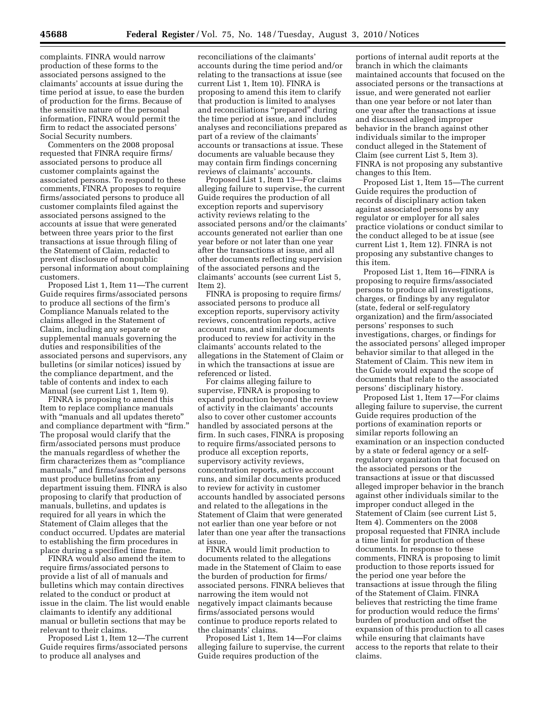complaints. FINRA would narrow production of these forms to the associated persons assigned to the claimants' accounts at issue during the time period at issue, to ease the burden of production for the firms. Because of the sensitive nature of the personal information, FINRA would permit the firm to redact the associated persons' Social Security numbers.

Commenters on the 2008 proposal requested that FINRA require firms/ associated persons to produce all customer complaints against the associated persons. To respond to these comments, FINRA proposes to require firms/associated persons to produce all customer complaints filed against the associated persons assigned to the accounts at issue that were generated between three years prior to the first transactions at issue through filing of the Statement of Claim, redacted to prevent disclosure of nonpublic personal information about complaining customers.

Proposed List 1, Item 11—The current Guide requires firms/associated persons to produce all sections of the firm's Compliance Manuals related to the claims alleged in the Statement of Claim, including any separate or supplemental manuals governing the duties and responsibilities of the associated persons and supervisors, any bulletins (or similar notices) issued by the compliance department, and the table of contents and index to each Manual (see current List 1, Item 9).

FINRA is proposing to amend this Item to replace compliance manuals with "manuals and all updates thereto" and compliance department with "firm." The proposal would clarify that the firm/associated persons must produce the manuals regardless of whether the firm characterizes them as "compliance manuals,'' and firms/associated persons must produce bulletins from any department issuing them. FINRA is also proposing to clarify that production of manuals, bulletins, and updates is required for all years in which the Statement of Claim alleges that the conduct occurred. Updates are material to establishing the firm procedures in place during a specified time frame.

FINRA would also amend the item to require firms/associated persons to provide a list of all of manuals and bulletins which may contain directives related to the conduct or product at issue in the claim. The list would enable claimants to identify any additional manual or bulletin sections that may be relevant to their claims.

Proposed List 1, Item 12—The current Guide requires firms/associated persons to produce all analyses and

reconciliations of the claimants' accounts during the time period and/or relating to the transactions at issue (see current List 1, Item 10). FINRA is proposing to amend this item to clarify that production is limited to analyses and reconciliations ''prepared'' during the time period at issue, and includes analyses and reconciliations prepared as part of a review of the claimants' accounts or transactions at issue. These documents are valuable because they may contain firm findings concerning reviews of claimants' accounts.

Proposed List 1, Item 13—For claims alleging failure to supervise, the current Guide requires the production of all exception reports and supervisory activity reviews relating to the associated persons and/or the claimants' accounts generated not earlier than one year before or not later than one year after the transactions at issue, and all other documents reflecting supervision of the associated persons and the claimants' accounts (see current List 5, Item 2).

FINRA is proposing to require firms/ associated persons to produce all exception reports, supervisory activity reviews, concentration reports, active account runs, and similar documents produced to review for activity in the claimants' accounts related to the allegations in the Statement of Claim or in which the transactions at issue are referenced or listed.

For claims alleging failure to supervise, FINRA is proposing to expand production beyond the review of activity in the claimants' accounts also to cover other customer accounts handled by associated persons at the firm. In such cases, FINRA is proposing to require firms/associated persons to produce all exception reports, supervisory activity reviews, concentration reports, active account runs, and similar documents produced to review for activity in customer accounts handled by associated persons and related to the allegations in the Statement of Claim that were generated not earlier than one year before or not later than one year after the transactions at issue.

FINRA would limit production to documents related to the allegations made in the Statement of Claim to ease the burden of production for firms/ associated persons. FINRA believes that narrowing the item would not negatively impact claimants because firms/associated persons would continue to produce reports related to the claimants' claims.

Proposed List 1, Item 14—For claims alleging failure to supervise, the current Guide requires production of the

portions of internal audit reports at the branch in which the claimants maintained accounts that focused on the associated persons or the transactions at issue, and were generated not earlier than one year before or not later than one year after the transactions at issue and discussed alleged improper behavior in the branch against other individuals similar to the improper conduct alleged in the Statement of Claim (see current List 5, Item 3). FINRA is not proposing any substantive changes to this Item.

Proposed List 1, Item 15—The current Guide requires the production of records of disciplinary action taken against associated persons by any regulator or employer for all sales practice violations or conduct similar to the conduct alleged to be at issue (see current List 1, Item 12). FINRA is not proposing any substantive changes to this item.

Proposed List 1, Item 16—FINRA is proposing to require firms/associated persons to produce all investigations, charges, or findings by any regulator (state, federal or self-regulatory organization) and the firm/associated persons' responses to such investigations, charges, or findings for the associated persons' alleged improper behavior similar to that alleged in the Statement of Claim. This new item in the Guide would expand the scope of documents that relate to the associated persons' disciplinary history.

Proposed List 1, Item 17—For claims alleging failure to supervise, the current Guide requires production of the portions of examination reports or similar reports following an examination or an inspection conducted by a state or federal agency or a selfregulatory organization that focused on the associated persons or the transactions at issue or that discussed alleged improper behavior in the branch against other individuals similar to the improper conduct alleged in the Statement of Claim (see current List 5, Item 4). Commenters on the 2008 proposal requested that FINRA include a time limit for production of these documents. In response to these comments, FINRA is proposing to limit production to those reports issued for the period one year before the transactions at issue through the filing of the Statement of Claim. FINRA believes that restricting the time frame for production would reduce the firms' burden of production and offset the expansion of this production to all cases while ensuring that claimants have access to the reports that relate to their claims.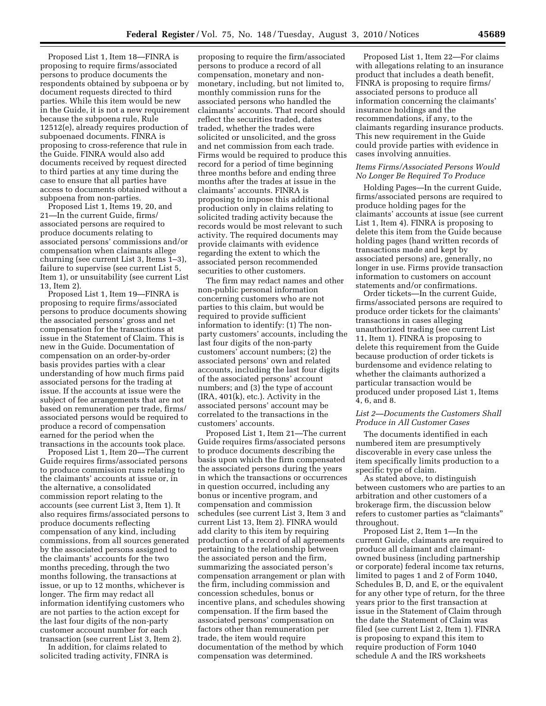Proposed List 1, Item 18—FINRA is proposing to require firms/associated persons to produce documents the respondents obtained by subpoena or by document requests directed to third parties. While this item would be new in the Guide, it is not a new requirement because the subpoena rule, Rule 12512(e), already requires production of subpoenaed documents. FINRA is proposing to cross-reference that rule in the Guide. FINRA would also add documents received by request directed to third parties at any time during the case to ensure that all parties have access to documents obtained without a subpoena from non-parties.

Proposed List 1, Items 19, 20, and 21—In the current Guide, firms/ associated persons are required to produce documents relating to associated persons' commissions and/or compensation when claimants allege churning (see current List 3, Items 1–3), failure to supervise (see current List 5, Item 1), or unsuitability (see current List 13, Item 2).

Proposed List 1, Item 19—FINRA is proposing to require firms/associated persons to produce documents showing the associated persons' gross and net compensation for the transactions at issue in the Statement of Claim. This is new in the Guide. Documentation of compensation on an order-by-order basis provides parties with a clear understanding of how much firms paid associated persons for the trading at issue. If the accounts at issue were the subject of fee arrangements that are not based on remuneration per trade, firms/ associated persons would be required to produce a record of compensation earned for the period when the transactions in the accounts took place.

Proposed List 1, Item 20—The current Guide requires firms/associated persons to produce commission runs relating to the claimants' accounts at issue or, in the alternative, a consolidated commission report relating to the accounts (see current List 3, Item 1). It also requires firms/associated persons to produce documents reflecting compensation of any kind, including commissions, from all sources generated by the associated persons assigned to the claimants' accounts for the two months preceding, through the two months following, the transactions at issue, or up to 12 months, whichever is longer. The firm may redact all information identifying customers who are not parties to the action except for the last four digits of the non-party customer account number for each transaction (see current List 3, Item 2).

In addition, for claims related to solicited trading activity, FINRA is

proposing to require the firm/associated persons to produce a record of all compensation, monetary and nonmonetary, including, but not limited to, monthly commission runs for the associated persons who handled the claimants' accounts. That record should reflect the securities traded, dates traded, whether the trades were solicited or unsolicited, and the gross and net commission from each trade. Firms would be required to produce this record for a period of time beginning three months before and ending three months after the trades at issue in the claimants' accounts. FINRA is proposing to impose this additional production only in claims relating to solicited trading activity because the records would be most relevant to such activity. The required documents may provide claimants with evidence regarding the extent to which the associated person recommended securities to other customers.

The firm may redact names and other non-public personal information concerning customers who are not parties to this claim, but would be required to provide sufficient information to identify: (1) The nonparty customers' accounts, including the last four digits of the non-party customers' account numbers; (2) the associated persons' own and related accounts, including the last four digits of the associated persons' account numbers; and (3) the type of account (IRA, 401(k), etc.). Activity in the associated persons' account may be correlated to the transactions in the customers' accounts.

Proposed List 1, Item 21—The current Guide requires firms/associated persons to produce documents describing the basis upon which the firm compensated the associated persons during the years in which the transactions or occurrences in question occurred, including any bonus or incentive program, and compensation and commission schedules (see current List 3, Item 3 and current List 13, Item 2). FINRA would add clarity to this item by requiring production of a record of all agreements pertaining to the relationship between the associated person and the firm, summarizing the associated person's compensation arrangement or plan with the firm, including commission and concession schedules, bonus or incentive plans, and schedules showing compensation. If the firm based the associated persons' compensation on factors other than remuneration per trade, the item would require documentation of the method by which compensation was determined.

Proposed List 1, Item 22—For claims with allegations relating to an insurance product that includes a death benefit, FINRA is proposing to require firms/ associated persons to produce all information concerning the claimants' insurance holdings and the recommendations, if any, to the claimants regarding insurance products. This new requirement in the Guide could provide parties with evidence in cases involving annuities.

## *Items Firms/Associated Persons Would No Longer Be Required To Produce*

Holding Pages—In the current Guide, firms/associated persons are required to produce holding pages for the claimants' accounts at issue (see current List 1, Item 4). FINRA is proposing to delete this item from the Guide because holding pages (hand written records of transactions made and kept by associated persons) are, generally, no longer in use. Firms provide transaction information to customers on account statements and/or confirmations.

Order tickets—In the current Guide, firms/associated persons are required to produce order tickets for the claimants' transactions in cases alleging unauthorized trading (see current List 11, Item 1). FINRA is proposing to delete this requirement from the Guide because production of order tickets is burdensome and evidence relating to whether the claimants authorized a particular transaction would be produced under proposed List 1, Items 4, 6, and 8.

## *List 2—Documents the Customers Shall Produce in All Customer Cases*

The documents identified in each numbered item are presumptively discoverable in every case unless the item specifically limits production to a specific type of claim.

As stated above, to distinguish between customers who are parties to an arbitration and other customers of a brokerage firm, the discussion below refers to customer parties as ''claimants'' throughout.

Proposed List 2, Item 1—In the current Guide, claimants are required to produce all claimant and claimantowned business (including partnership or corporate) federal income tax returns, limited to pages 1 and 2 of Form 1040, Schedules B, D, and E, or the equivalent for any other type of return, for the three years prior to the first transaction at issue in the Statement of Claim through the date the Statement of Claim was filed (see current List 2, Item 1). FINRA is proposing to expand this item to require production of Form 1040 schedule A and the IRS worksheets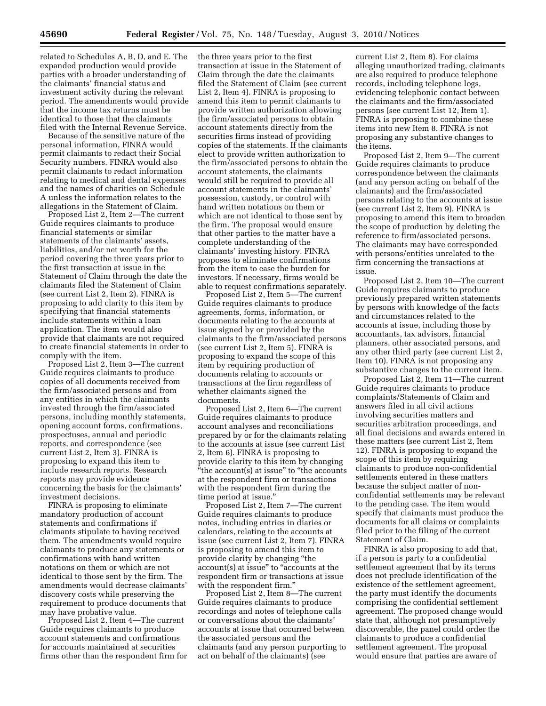related to Schedules A, B, D, and E. The expanded production would provide parties with a broader understanding of the claimants' financial status and investment activity during the relevant period. The amendments would provide that the income tax returns must be identical to those that the claimants filed with the Internal Revenue Service.

Because of the sensitive nature of the personal information, FINRA would permit claimants to redact their Social Security numbers. FINRA would also permit claimants to redact information relating to medical and dental expenses and the names of charities on Schedule A unless the information relates to the allegations in the Statement of Claim.

Proposed List 2, Item 2—The current Guide requires claimants to produce financial statements or similar statements of the claimants' assets, liabilities, and/or net worth for the period covering the three years prior to the first transaction at issue in the Statement of Claim through the date the claimants filed the Statement of Claim (see current List 2, Item 2). FINRA is proposing to add clarity to this item by specifying that financial statements include statements within a loan application. The item would also provide that claimants are not required to create financial statements in order to comply with the item.

Proposed List 2, Item 3—The current Guide requires claimants to produce copies of all documents received from the firm/associated persons and from any entities in which the claimants invested through the firm/associated persons, including monthly statements, opening account forms, confirmations, prospectuses, annual and periodic reports, and correspondence (see current List 2, Item 3). FINRA is proposing to expand this item to include research reports. Research reports may provide evidence concerning the basis for the claimants' investment decisions.

FINRA is proposing to eliminate mandatory production of account statements and confirmations if claimants stipulate to having received them. The amendments would require claimants to produce any statements or confirmations with hand written notations on them or which are not identical to those sent by the firm. The amendments would decrease claimants' discovery costs while preserving the requirement to produce documents that may have probative value.

Proposed List 2, Item 4—The current Guide requires claimants to produce account statements and confirmations for accounts maintained at securities firms other than the respondent firm for the three years prior to the first transaction at issue in the Statement of Claim through the date the claimants filed the Statement of Claim (see current List 2, Item 4). FINRA is proposing to amend this item to permit claimants to provide written authorization allowing the firm/associated persons to obtain account statements directly from the securities firms instead of providing copies of the statements. If the claimants elect to provide written authorization to the firm/associated persons to obtain the account statements, the claimants would still be required to provide all account statements in the claimants' possession, custody, or control with hand written notations on them or which are not identical to those sent by the firm. The proposal would ensure that other parties to the matter have a complete understanding of the claimants' investing history. FINRA proposes to eliminate confirmations from the item to ease the burden for investors. If necessary, firms would be able to request confirmations separately.

Proposed List 2, Item 5—The current Guide requires claimants to produce agreements, forms, information, or documents relating to the accounts at issue signed by or provided by the claimants to the firm/associated persons (see current List 2, Item 5). FINRA is proposing to expand the scope of this item by requiring production of documents relating to accounts or transactions at the firm regardless of whether claimants signed the documents.

Proposed List 2, Item 6—The current Guide requires claimants to produce account analyses and reconciliations prepared by or for the claimants relating to the accounts at issue (see current List 2, Item 6). FINRA is proposing to provide clarity to this item by changing  $\ddot{ }$ "the account(s) at issue" to "the accounts at the respondent firm or transactions with the respondent firm during the time period at issue.''

Proposed List 2, Item 7—The current Guide requires claimants to produce notes, including entries in diaries or calendars, relating to the accounts at issue (see current List 2, Item 7). FINRA is proposing to amend this item to provide clarity by changing ''the account(s) at issue'' to ''accounts at the respondent firm or transactions at issue with the respondent firm."

Proposed List 2, Item 8—The current Guide requires claimants to produce recordings and notes of telephone calls or conversations about the claimants' accounts at issue that occurred between the associated persons and the claimants (and any person purporting to act on behalf of the claimants) (see

current List 2, Item 8). For claims alleging unauthorized trading, claimants are also required to produce telephone records, including telephone logs, evidencing telephonic contact between the claimants and the firm/associated persons (see current List 12, Item 1). FINRA is proposing to combine these items into new Item 8. FINRA is not proposing any substantive changes to the items.

Proposed List 2, Item 9—The current Guide requires claimants to produce correspondence between the claimants (and any person acting on behalf of the claimants) and the firm/associated persons relating to the accounts at issue (see current List 2, Item 9). FINRA is proposing to amend this item to broaden the scope of production by deleting the reference to firm/associated persons. The claimants may have corresponded with persons/entities unrelated to the firm concerning the transactions at issue.

Proposed List 2, Item 10—The current Guide requires claimants to produce previously prepared written statements by persons with knowledge of the facts and circumstances related to the accounts at issue, including those by accountants, tax advisors, financial planners, other associated persons, and any other third party (see current List 2, Item 10). FINRA is not proposing any substantive changes to the current item.

Proposed List 2, Item 11—The current Guide requires claimants to produce complaints/Statements of Claim and answers filed in all civil actions involving securities matters and securities arbitration proceedings, and all final decisions and awards entered in these matters (see current List 2, Item 12). FINRA is proposing to expand the scope of this item by requiring claimants to produce non-confidential settlements entered in these matters because the subject matter of nonconfidential settlements may be relevant to the pending case. The item would specify that claimants must produce the documents for all claims or complaints filed prior to the filing of the current Statement of Claim.

FINRA is also proposing to add that, if a person is party to a confidential settlement agreement that by its terms does not preclude identification of the existence of the settlement agreement, the party must identify the documents comprising the confidential settlement agreement. The proposed change would state that, although not presumptively discoverable, the panel could order the claimants to produce a confidential settlement agreement. The proposal would ensure that parties are aware of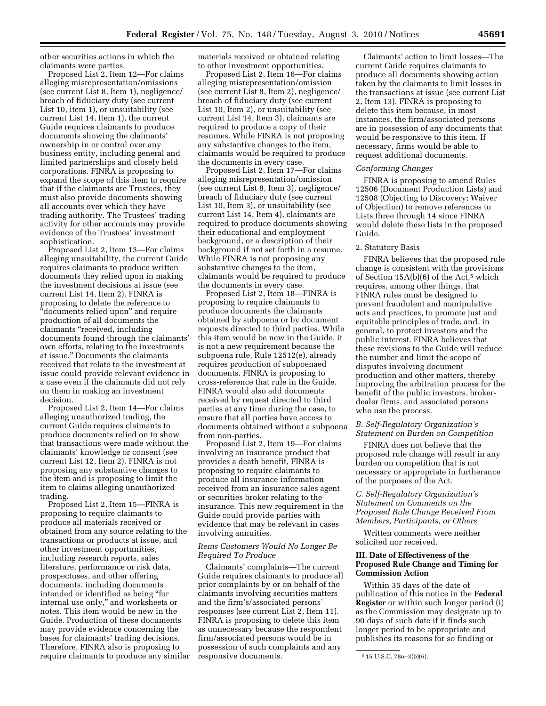other securities actions in which the claimants were parties.

Proposed List 2, Item 12—For claims alleging misrepresentation/omissions (see current List 8, Item 1), negligence/ breach of fiduciary duty (see current List 10, item 1), or unsuitability (see current List 14, Item 1), the current Guide requires claimants to produce documents showing the claimants' ownership in or control over any business entity, including general and limited partnerships and closely held corporations. FINRA is proposing to expand the scope of this item to require that if the claimants are Trustees, they must also provide documents showing all accounts over which they have trading authority. The Trustees' trading activity for other accounts may provide evidence of the Trustees' investment sophistication.

Proposed List 2, Item 13—For claims alleging unsuitability, the current Guide requires claimants to produce written documents they relied upon in making the investment decisions at issue (see current List 14, Item 2). FINRA is proposing to delete the reference to ''documents relied upon'' and require production of all documents the claimants ''received, including documents found through the claimants' own efforts, relating to the investments at issue.'' Documents the claimants received that relate to the investment at issue could provide relevant evidence in a case even if the claimants did not rely on them in making an investment decision.

Proposed List 2, Item 14—For claims alleging unauthorized trading, the current Guide requires claimants to produce documents relied on to show that transactions were made without the claimants' knowledge or consent (see current List 12, Item 2). FINRA is not proposing any substantive changes to the item and is proposing to limit the item to claims alleging unauthorized trading.

Proposed List 2, Item 15—FINRA is proposing to require claimants to produce all materials received or obtained from any source relating to the transactions or products at issue, and other investment opportunities, including research reports, sales literature, performance or risk data, prospectuses, and other offering documents, including documents intended or identified as being ''for internal use only,'' and worksheets or notes. This item would be new in the Guide. Production of these documents may provide evidence concerning the bases for claimants' trading decisions. Therefore, FINRA also is proposing to require claimants to produce any similar materials received or obtained relating to other investment opportunities.

Proposed List 2, Item 16—For claims alleging misrepresentation/omission (see current List 8, Item 2), negligence/ breach of fiduciary duty (see current List 10, Item 2), or unsuitability (see current List 14, Item 3), claimants are required to produce a copy of their resumes. While FINRA is not proposing any substantive changes to the item, claimants would be required to produce the documents in every case.

Proposed List 2, Item 17—For claims alleging misrepresentation/omission (see current List 8, Item 3), negligence/ breach of fiduciary duty (see current List 10, Item 3), or unsuitability (see current List 14, Item 4), claimants are required to produce documents showing their educational and employment background, or a description of their background if not set forth in a resume. While FINRA is not proposing any substantive changes to the item, claimants would be required to produce the documents in every case.

Proposed List 2, Item 18—FINRA is proposing to require claimants to produce documents the claimants obtained by subpoena or by document requests directed to third parties. While this item would be new in the Guide, it is not a new requirement because the subpoena rule, Rule 12512(e), already requires production of subpoenaed documents. FINRA is proposing to cross-reference that rule in the Guide. FINRA would also add documents received by request directed to third parties at any time during the case, to ensure that all parties have access to documents obtained without a subpoena from non-parties.

Proposed List 2, Item 19—For claims involving an insurance product that provides a death benefit, FINRA is proposing to require claimants to produce all insurance information received from an insurance sales agent or securities broker relating to the insurance. This new requirement in the Guide could provide parties with evidence that may be relevant in cases involving annuities.

## *Items Customers Would No Longer Be Required To Produce*

Claimants' complaints—The current Guide requires claimants to produce all prior complaints by or on behalf of the claimants involving securities matters and the firm's/associated persons' responses (see current List 2, Item 11). FINRA is proposing to delete this item as unnecessary because the respondent firm/associated persons would be in possession of such complaints and any responsive documents.

Claimants' action to limit losses—The current Guide requires claimants to produce all documents showing action taken by the claimants to limit losses in the transactions at issue (see current List 2, Item 13). FINRA is proposing to delete this item because, in most instances, the firm/associated persons are in possession of any documents that would be responsive to this item. If necessary, firms would be able to request additional documents.

#### *Conforming Changes*

FINRA is proposing to amend Rules 12506 (Document Production Lists) and 12508 (Objecting to Discovery; Waiver of Objection) to remove references to Lists three through 14 since FINRA would delete these lists in the proposed Guide.

#### 2. Statutory Basis

FINRA believes that the proposed rule change is consistent with the provisions of Section  $15A(b)(6)$  of the Act,<sup>5</sup> which requires, among other things, that FINRA rules must be designed to prevent fraudulent and manipulative acts and practices, to promote just and equitable principles of trade, and, in general, to protect investors and the public interest. FINRA believes that these revisions to the Guide will reduce the number and limit the scope of disputes involving document production and other matters, thereby improving the arbitration process for the benefit of the public investors, brokerdealer firms, and associated persons who use the process.

#### *B. Self-Regulatory Organization's Statement on Burden on Competition*

FINRA does not believe that the proposed rule change will result in any burden on competition that is not necessary or appropriate in furtherance of the purposes of the Act.

## *C. Self-Regulatory Organization's Statement on Comments on the Proposed Rule Change Received From Members, Participants, or Others*

Written comments were neither solicited nor received.

## **III. Date of Effectiveness of the Proposed Rule Change and Timing for Commission Action**

Within 35 days of the date of publication of this notice in the **Federal Register** or within such longer period (i) as the Commission may designate up to 90 days of such date if it finds such longer period to be appropriate and publishes its reasons for so finding or

<sup>5</sup> 15 U.S.C. 78o–3(b)(6).